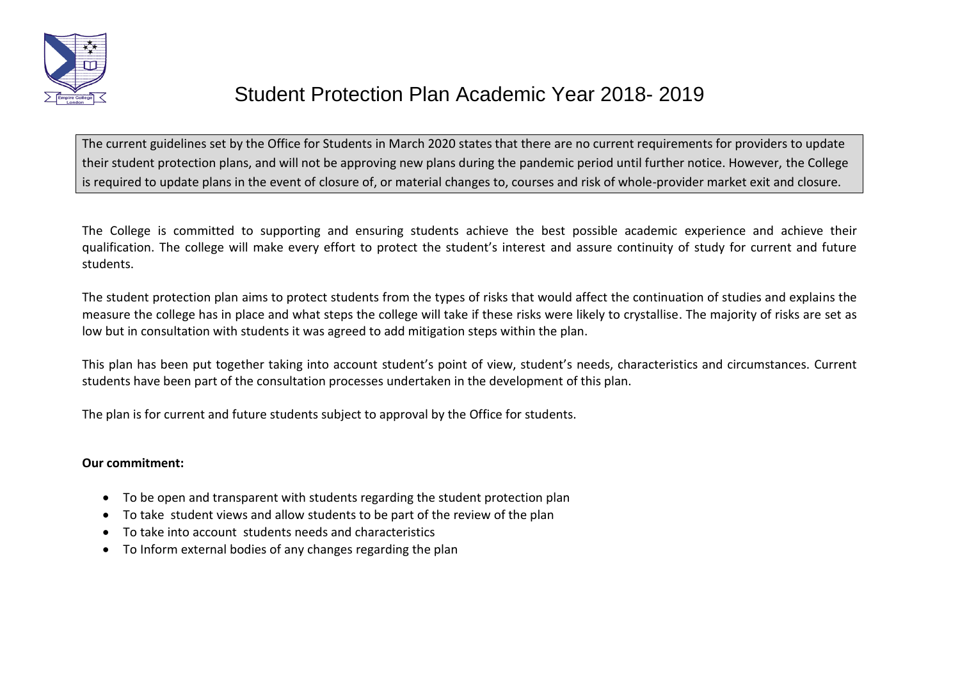

## Student Protection Plan Academic Year 2018- 2019

The current guidelines set by the Office for Students in March 2020 states that there are no current requirements for providers to update their student protection plans, and will not be approving new plans during the pandemic period until further notice. However, the College is required to update plans in the event of closure of, or material changes to, courses and risk of whole-provider market exit and closure.

The College is committed to supporting and ensuring students achieve the best possible academic experience and achieve their qualification. The college will make every effort to protect the student's interest and assure continuity of study for current and future students.

The student protection plan aims to protect students from the types of risks that would affect the continuation of studies and explains the measure the college has in place and what steps the college will take if these risks were likely to crystallise. The majority of risks are set as low but in consultation with students it was agreed to add mitigation steps within the plan.

This plan has been put together taking into account student's point of view, student's needs, characteristics and circumstances. Current students have been part of the consultation processes undertaken in the development of this plan.

The plan is for current and future students subject to approval by the Office for students.

## **Our commitment:**

- To be open and transparent with students regarding the student protection plan
- To take student views and allow students to be part of the review of the plan
- To take into account students needs and characteristics
- To Inform external bodies of any changes regarding the plan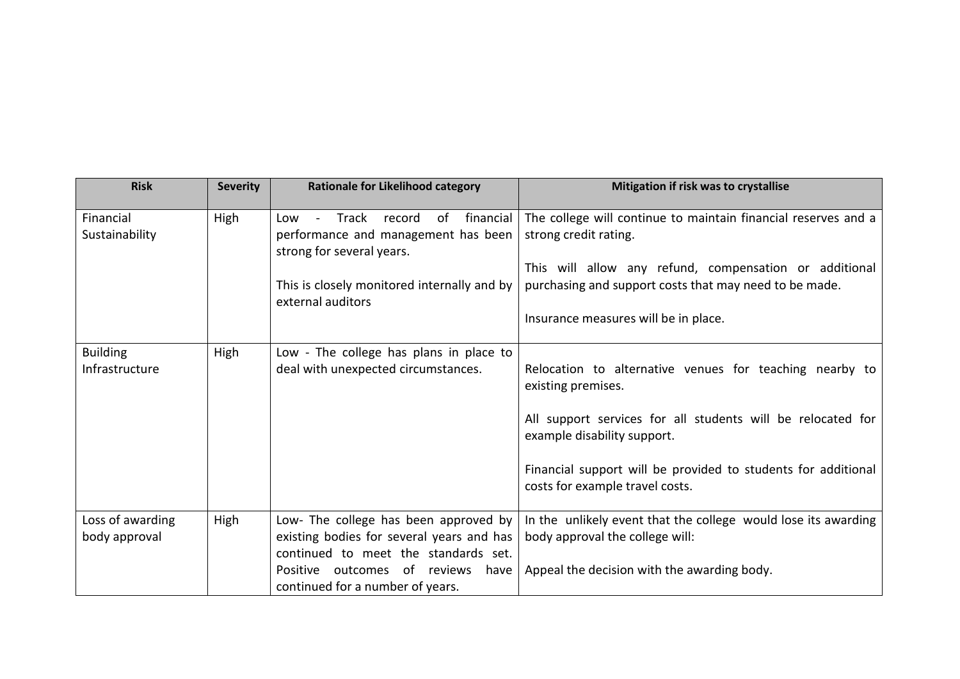| The college will continue to maintain financial reserves and a |
|----------------------------------------------------------------|
|                                                                |
| This will allow any refund, compensation or additional         |
| purchasing and support costs that may need to be made.         |
| Insurance measures will be in place.                           |
|                                                                |
| Relocation to alternative venues for teaching nearby to        |
| All support services for all students will be relocated for    |
| Financial support will be provided to students for additional  |
| In the unlikely event that the college would lose its awarding |
|                                                                |
|                                                                |
| Appeal the decision with the awarding body.                    |
|                                                                |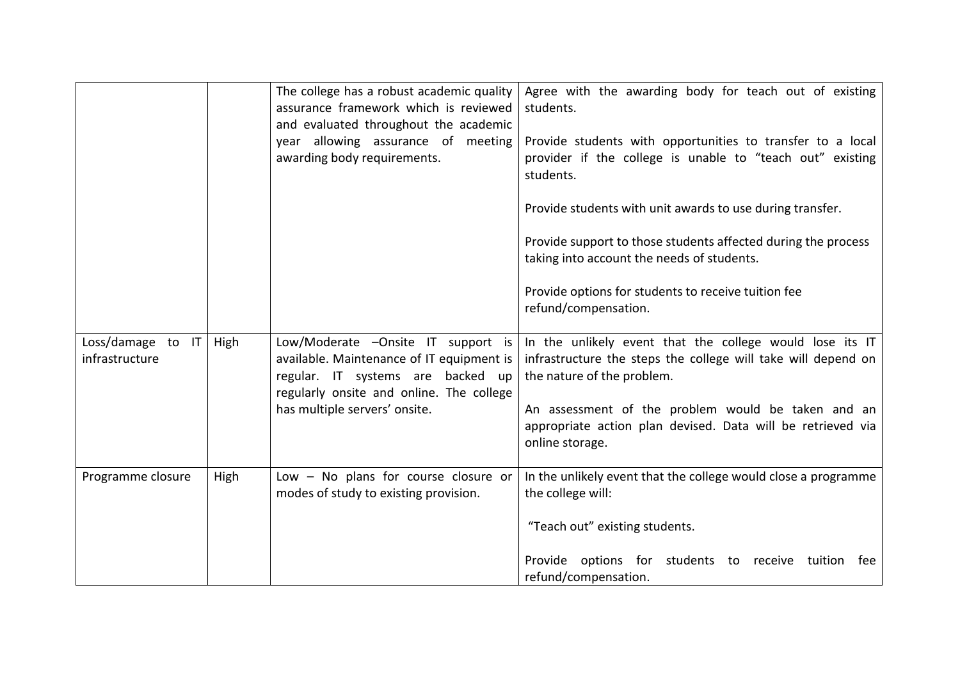|                                                            |      | The college has a robust academic quality<br>assurance framework which is reviewed<br>and evaluated throughout the academic<br>year allowing assurance of meeting<br>awarding body requirements.  | Agree with the awarding body for teach out of existing<br>students.<br>Provide students with opportunities to transfer to a local<br>provider if the college is unable to "teach out" existing<br>students.<br>Provide students with unit awards to use during transfer.<br>Provide support to those students affected during the process<br>taking into account the needs of students.<br>Provide options for students to receive tuition fee<br>refund/compensation. |
|------------------------------------------------------------|------|---------------------------------------------------------------------------------------------------------------------------------------------------------------------------------------------------|------------------------------------------------------------------------------------------------------------------------------------------------------------------------------------------------------------------------------------------------------------------------------------------------------------------------------------------------------------------------------------------------------------------------------------------------------------------------|
| $\mathsf{I}\mathsf{T}$<br>Loss/damage to<br>infrastructure | High | Low/Moderate -Onsite IT support is<br>available. Maintenance of IT equipment is<br>regular. IT systems are backed up<br>regularly onsite and online. The college<br>has multiple servers' onsite. | In the unlikely event that the college would lose its IT<br>infrastructure the steps the college will take will depend on<br>the nature of the problem.<br>An assessment of the problem would be taken and an<br>appropriate action plan devised. Data will be retrieved via<br>online storage.                                                                                                                                                                        |
| Programme closure                                          | High | Low $-$ No plans for course closure or<br>modes of study to existing provision.                                                                                                                   | In the unlikely event that the college would close a programme<br>the college will:<br>"Teach out" existing students.<br>Provide options for students to receive<br>tuition<br>fee<br>refund/compensation.                                                                                                                                                                                                                                                             |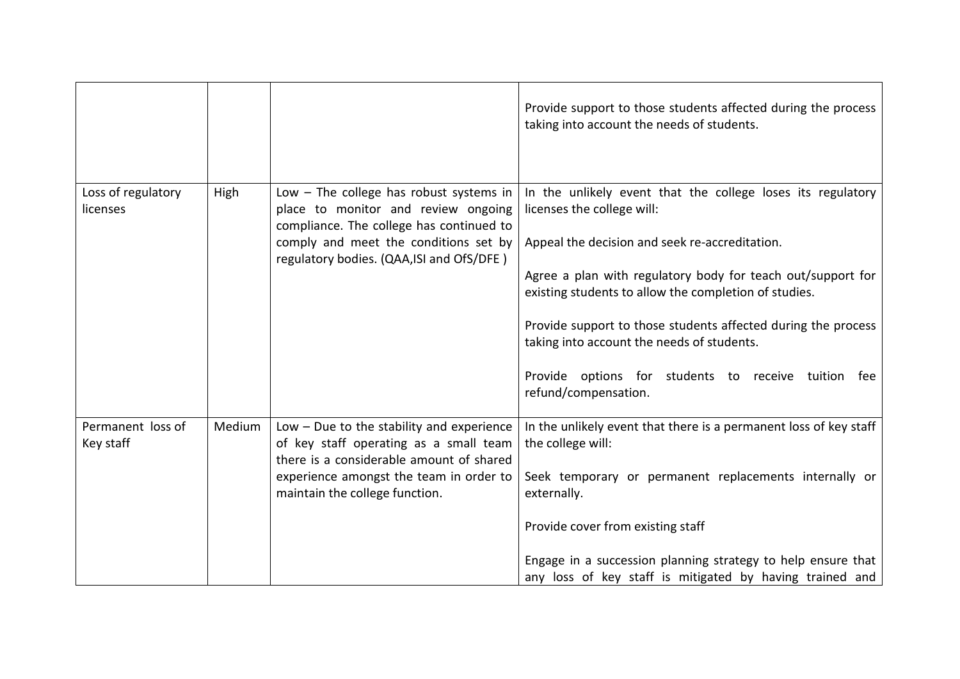|                                |        |                                                                                                                                                                                                                    | Provide support to those students affected during the process<br>taking into account the needs of students.                                                                                                                                                                                                                      |
|--------------------------------|--------|--------------------------------------------------------------------------------------------------------------------------------------------------------------------------------------------------------------------|----------------------------------------------------------------------------------------------------------------------------------------------------------------------------------------------------------------------------------------------------------------------------------------------------------------------------------|
| Loss of regulatory<br>licenses | High   | Low $-$ The college has robust systems in<br>place to monitor and review ongoing<br>compliance. The college has continued to<br>comply and meet the conditions set by<br>regulatory bodies. (QAA, ISI and OfS/DFE) | In the unlikely event that the college loses its regulatory<br>licenses the college will:<br>Appeal the decision and seek re-accreditation.<br>Agree a plan with regulatory body for teach out/support for<br>existing students to allow the completion of studies.                                                              |
|                                |        |                                                                                                                                                                                                                    | Provide support to those students affected during the process<br>taking into account the needs of students.<br>Provide options for students to receive tuition fee<br>refund/compensation.                                                                                                                                       |
| Permanent loss of<br>Key staff | Medium | $Low - Due to the stability and experience$<br>of key staff operating as a small team<br>there is a considerable amount of shared<br>experience amongst the team in order to<br>maintain the college function.     | In the unlikely event that there is a permanent loss of key staff<br>the college will:<br>Seek temporary or permanent replacements internally or<br>externally.<br>Provide cover from existing staff<br>Engage in a succession planning strategy to help ensure that<br>any loss of key staff is mitigated by having trained and |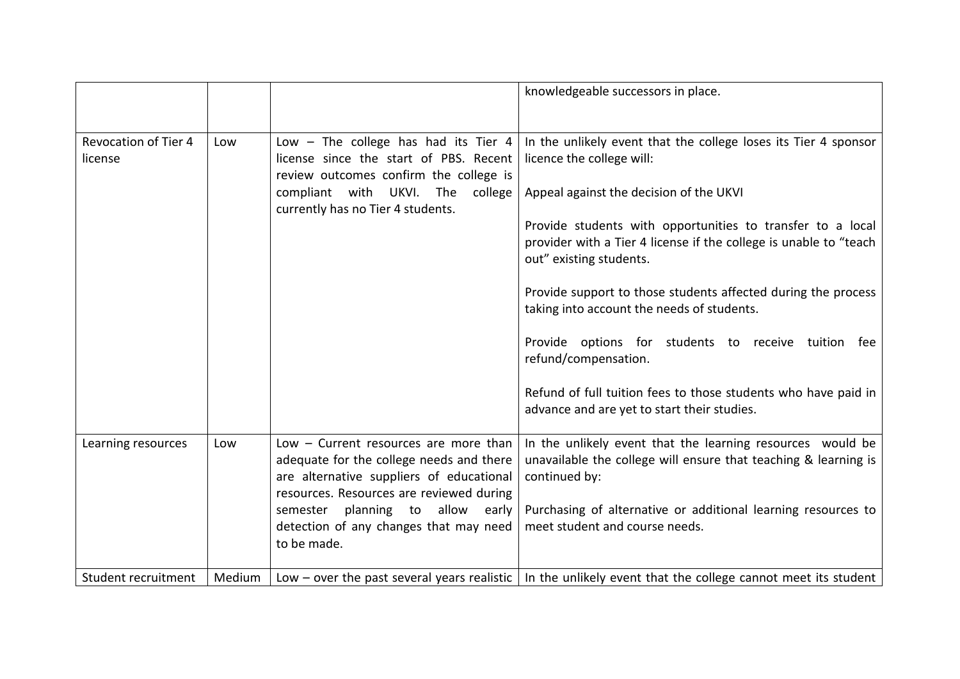|                                        |        |                                                                                                                                                                           | knowledgeable successors in place.                                                                                                                         |
|----------------------------------------|--------|---------------------------------------------------------------------------------------------------------------------------------------------------------------------------|------------------------------------------------------------------------------------------------------------------------------------------------------------|
|                                        |        |                                                                                                                                                                           |                                                                                                                                                            |
| <b>Revocation of Tier 4</b><br>license | Low    | Low $-$ The college has had its Tier 4<br>license since the start of PBS. Recent<br>review outcomes confirm the college is                                                | In the unlikely event that the college loses its Tier 4 sponsor<br>licence the college will:                                                               |
|                                        |        | compliant with UKVI.<br>The<br>college<br>currently has no Tier 4 students.                                                                                               | Appeal against the decision of the UKVI                                                                                                                    |
|                                        |        |                                                                                                                                                                           | Provide students with opportunities to transfer to a local<br>provider with a Tier 4 license if the college is unable to "teach<br>out" existing students. |
|                                        |        |                                                                                                                                                                           | Provide support to those students affected during the process<br>taking into account the needs of students.                                                |
|                                        |        |                                                                                                                                                                           | Provide options for students to receive tuition fee<br>refund/compensation.                                                                                |
|                                        |        |                                                                                                                                                                           | Refund of full tuition fees to those students who have paid in<br>advance and are yet to start their studies.                                              |
| Learning resources                     | Low    | Low - Current resources are more than<br>adequate for the college needs and there<br>are alternative suppliers of educational<br>resources. Resources are reviewed during | In the unlikely event that the learning resources would be<br>unavailable the college will ensure that teaching & learning is<br>continued by:             |
|                                        |        | planning to<br>allow<br>semester<br>early<br>detection of any changes that may need                                                                                       | Purchasing of alternative or additional learning resources to<br>meet student and course needs.                                                            |
|                                        |        | to be made.                                                                                                                                                               |                                                                                                                                                            |
| Student recruitment                    | Medium |                                                                                                                                                                           | Low – over the past several years realistic   In the unlikely event that the college cannot meet its student                                               |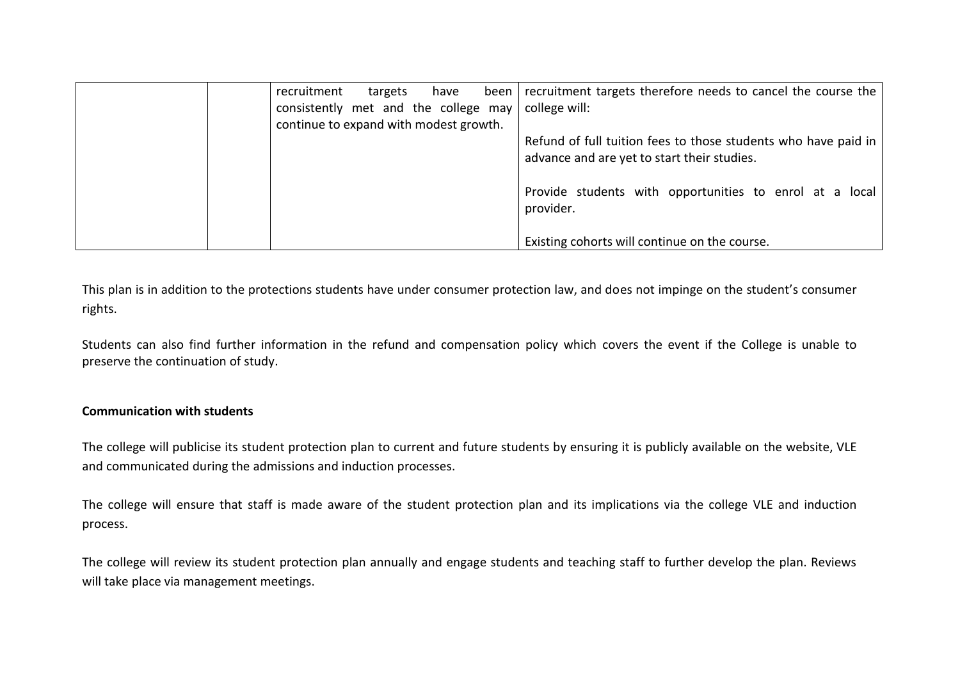| recruitment<br>targets<br>have         | been l | recruitment targets therefore needs to cancel the course the   |
|----------------------------------------|--------|----------------------------------------------------------------|
| consistently met and the college may   |        | college will:                                                  |
| continue to expand with modest growth. |        |                                                                |
|                                        |        | Refund of full tuition fees to those students who have paid in |
|                                        |        | advance and are yet to start their studies.                    |
|                                        |        |                                                                |
|                                        |        | Provide students with opportunities to enrol at a local        |
|                                        |        | provider.                                                      |
|                                        |        |                                                                |
|                                        |        | Existing cohorts will continue on the course.                  |

This plan is in addition to the protections students have under consumer protection law, and does not impinge on the student's consumer rights.

Students can also find further information in the refund and compensation policy which covers the event if the College is unable to preserve the continuation of study.

## **Communication with students**

The college will publicise its student protection plan to current and future students by ensuring it is publicly available on the website, VLE and communicated during the admissions and induction processes.

The college will ensure that staff is made aware of the student protection plan and its implications via the college VLE and induction process.

The college will review its student protection plan annually and engage students and teaching staff to further develop the plan. Reviews will take place via management meetings.